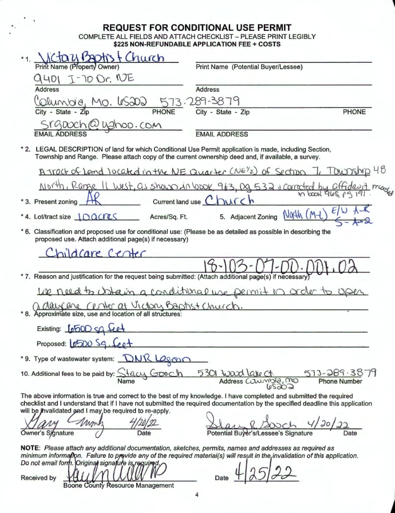## **REQUEST FOR CONDITIONAL USE PERMIT**

COMPLETE ALL FIELDS AND ATTACH CHECKLIST - PLEASE PRINT LEGIBLY \$225 NON-REFUNDABLE APPLICATION FEE + COSTS

Church **Print Name (Property Owner) Print Name (Potential Buver/Lessee)** 9401 I-70 Or. NE **Address** <u>Colunde, Mo. le SDD</u><br>City - State - Zip **PHONE** Srgouch@ughoo.com **EMAIL ADDRESS** \* 2. LEGAL DESCRIPTION of land for which Conditional Use Permit application is made, including Section, Township and Range. Please attach copy of the current ownership deed and, if available, a survey. A tract of Land located in the NE Quarter (NE)2 of Section 7, Township 48 North, Rame II West. as shown in loop 963 Da 532 & corrected by affidavit m book 965, 19191 Current land use \* 3. Present zoning North \*4. Lot/tract size 100CCCS 5. Adiacent Zoning Acres/Sq. Ft. \* 6. Classification and proposed use for conditional use: (Please be as detailed as possible in describing the proposed use. Attach additional page(s) if necessary) nildcare Center \* 7. Reason and justification for the request being submitted: (Attach additional page(s) if necessary We need to whain a conditional use permit in order to upen "8. Approximate size, use and location of all structures: Existing: **LOGOD** SQ feet <u> 1989 - Andrea Station, amerikan bestean ing disebut di parti di parti di parti di parti di parti di parti di</u> Proposed: 0500 Sq. Coot \*9. Type of wastewater system: DNR Lagon 10. Additional fees to be paid by: Stacy Gooch 5301 <u>Ward Lake Ct.</u><br>Address Counningle, mo <u> දහල </u> The above information is true and correct to the best of my knowledge. I have completed and submitted the required checklist and I understand that if I have not submitted the required documentation by the specified deadline this application will be jhvalidated and I may be required to re-apply. Owner's Signature Potential Buyer's/Lessee's Signature Date NOTE: Please attach any additional documentation, sketches, permits, names and addresses as required as minimum information. Failure to provide any of the required material(s) will result in the invalidation of this application. Do not email form. Original signafure is required

**Received by Boone County Resource Management** 

**Date**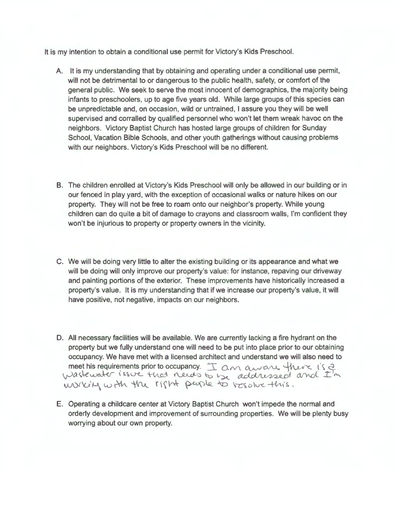It is my intention to obtain a conditional use permit for Victory's Kids Preschool.

- A. It is my understanding that by obtaining and operating under a conditional use permit, will not be detrimental to or dangerous to the public health, safety, or comfort of the general public. We seek to serve the most innocent of demographics, the majority being infants to preschoolers, up to age five years old. While large groups of this species can be unpredictable and, on occasion, wild or untrained, I assure you they will be well supervised and corralled by qualified personnel who won't let them wreak havoc on the neighbors. Victory Baptist Church has hosted large groups of children for Sunday School, Vacation Bible Schools, and other youth gatherings without causing problems with our neighbors. Victory's Kids Preschool will be no different.
- B. The children enrolled at Victory's Kids Preschool will only be allowed in our building or in our fenced in play yard, with the exception of occasional walks or nature hikes on our property. They will not be free to roam onto our neighbor's property. While young children can do quite a bit of damage to crayons and classroom walls, I'm confident they won't be injurious to property or property owners in the vicinity.
- C. We will be doing very little to alter the existing building or its appearance and what we will be doing will only improve our property's value: for instance, repaving our driveway and painting portions of the exterior. These improvements have historically increased a property's value. It is my understanding that if we increase our property's value, it will have positive, not negative, impacts on our neighbors.
- D. All necessary facilities will be available. We are currently lacking a fire hydrant on the property but we fully understand one will need to be put into place prior to our obtaining occupancy. We have met with a licensed architect and understand we will also need to meet his requirements prior to occupancy.  $\pm$  an aware there is 2 *v) astewater issue that needs to be addressed and I'm* working with the right puode to resolve this.
- E. Operating a childcare center at Victory Baptist Church won't impede the normal and orderly development and improvement of surrounding properties. We will be plenty busy worrying about our own property.